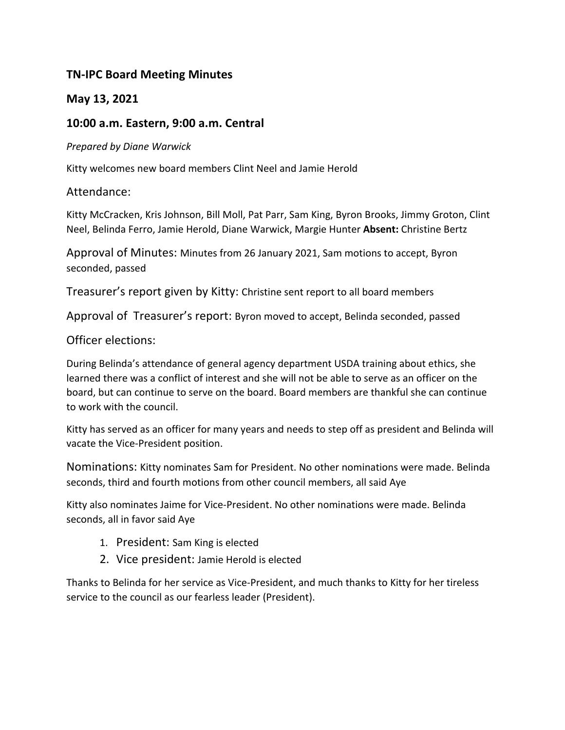# **TN-IPC Board Meeting Minutes**

## **May 13, 2021**

### **10:00 a.m. Eastern, 9:00 a.m. Central**

#### *Prepared by Diane Warwick*

Kitty welcomes new board members Clint Neel and Jamie Herold

### Attendance:

Kitty McCracken, Kris Johnson, Bill Moll, Pat Parr, Sam King, Byron Brooks, Jimmy Groton, Clint Neel, Belinda Ferro, Jamie Herold, Diane Warwick, Margie Hunter **Absent:** Christine Bertz

Approval of Minutes: Minutes from 26 January 2021, Sam motions to accept, Byron seconded, passed

Treasurer's report given by Kitty: Christine sent report to all board members

Approval of Treasurer's report: Byron moved to accept, Belinda seconded, passed

#### Officer elections:

During Belinda's attendance of general agency department USDA training about ethics, she learned there was a conflict of interest and she will not be able to serve as an officer on the board, but can continue to serve on the board. Board members are thankful she can continue to work with the council.

Kitty has served as an officer for many years and needs to step off as president and Belinda will vacate the Vice-President position.

Nominations: Kitty nominates Sam for President. No other nominations were made. Belinda seconds, third and fourth motions from other council members, all said Aye

Kitty also nominates Jaime for Vice-President. No other nominations were made. Belinda seconds, all in favor said Aye

- 1. President: Sam King is elected
- 2. Vice president: Jamie Herold is elected

Thanks to Belinda for her service as Vice-President, and much thanks to Kitty for her tireless service to the council as our fearless leader (President).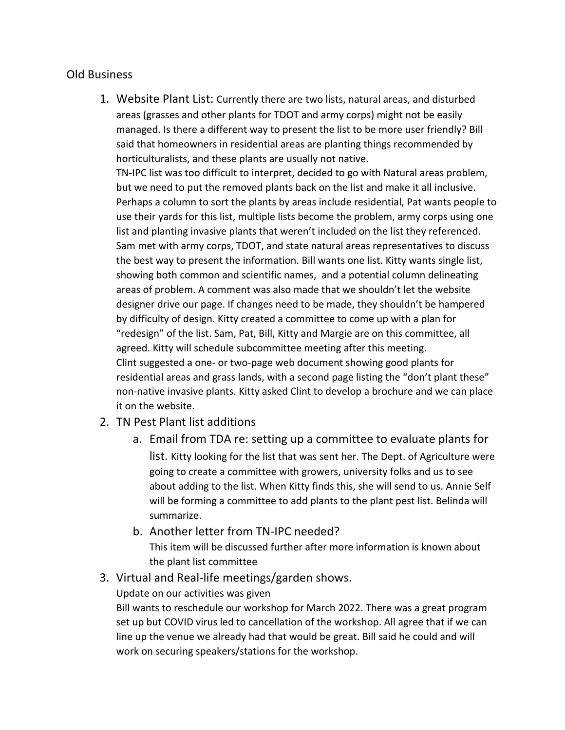### Old Business

1. Website Plant List: Currently there are two lists, natural areas, and disturbed areas (grasses and other plants for TDOT and army corps) might not be easily managed. Is there a different way to present the list to be more user friendly? Bill said that homeowners in residential areas are planting things recommended by horticulturalists, and these plants are usually not native.

TN-IPC list was too difficult to interpret, decided to go with Natural areas problem, but we need to put the removed plants back on the list and make it all inclusive. Perhaps a column to sort the plants by areas include residential, Pat wants people to use their yards for this list, multiple lists become the problem, army corps using one list and planting invasive plants that weren't included on the list they referenced. Sam met with army corps, TDOT, and state natural areas representatives to discuss the best way to present the information. Bill wants one list. Kitty wants single list, showing both common and scientific names, and a potential column delineating areas of problem. A comment was also made that we shouldn't let the website designer drive our page. If changes need to be made, they shouldn't be hampered by difficulty of design. Kitty created a committee to come up with a plan for "redesign" of the list. Sam, Pat, Bill, Kitty and Margie are on this committee, all agreed. Kitty will schedule subcommittee meeting after this meeting. Clint suggested a one- or two-page web document showing good plants for residential areas and grass lands, with a second page listing the "don't plant these" non-native invasive plants. Kitty asked Clint to develop a brochure and we can place it on the website.

- 2. TN Pest Plant list additions
	- a. Email from TDA re: setting up a committee to evaluate plants for list. Kitty looking for the list that was sent her. The Dept. of Agriculture were going to create a committee with growers, university folks and us to see about adding to the list. When Kitty finds this, she will send to us. Annie Self will be forming a committee to add plants to the plant pest list. Belinda will summarize.
	- b. Another letter from TN-IPC needed? This item will be discussed further after more information is known about the plant list committee
- 3. Virtual and Real-life meetings/garden shows.

Update on our activities was given

Bill wants to reschedule our workshop for March 2022. There was a great program set up but COVID virus led to cancellation of the workshop. All agree that if we can line up the venue we already had that would be great. Bill said he could and will work on securing speakers/stations for the workshop.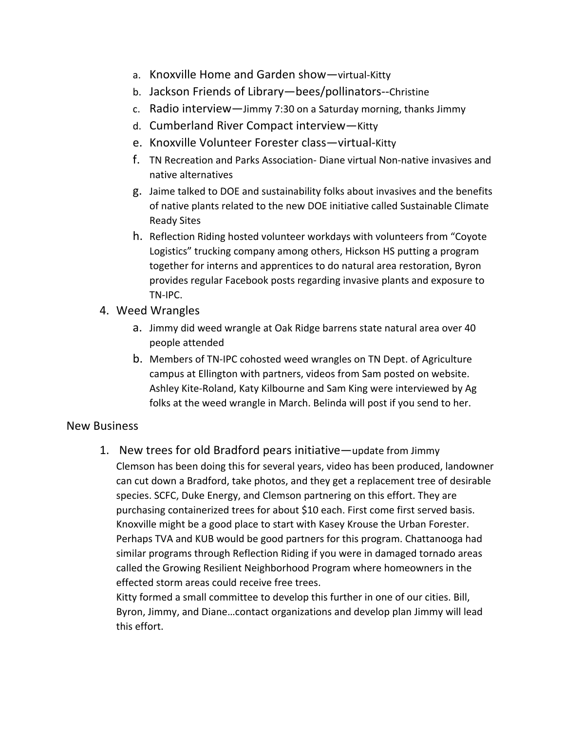- a. Knoxville Home and Garden show—virtual-Kitty
- b. Jackson Friends of Library—bees/pollinators--Christine
- c. Radio interview—Jimmy 7:30 on a Saturday morning, thanks Jimmy
- d. Cumberland River Compact interview—Kitty
- e. Knoxville Volunteer Forester class—virtual-Kitty
- f. TN Recreation and Parks Association- Diane virtual Non-native invasives and native alternatives
- g. Jaime talked to DOE and sustainability folks about invasives and the benefits of native plants related to the new DOE initiative called Sustainable Climate Ready Sites
- h. Reflection Riding hosted volunteer workdays with volunteers from "Coyote Logistics" trucking company among others, Hickson HS putting a program together for interns and apprentices to do natural area restoration, Byron provides regular Facebook posts regarding invasive plants and exposure to TN-IPC.
- 4. Weed Wrangles
	- a. Jimmy did weed wrangle at Oak Ridge barrens state natural area over 40 people attended
	- b. Members of TN-IPC cohosted weed wrangles on TN Dept. of Agriculture campus at Ellington with partners, videos from Sam posted on website. Ashley Kite-Roland, Katy Kilbourne and Sam King were interviewed by Ag folks at the weed wrangle in March. Belinda will post if you send to her.

### New Business

1. New trees for old Bradford pears initiative—update from Jimmy Clemson has been doing this for several years, video has been produced, landowner can cut down a Bradford, take photos, and they get a replacement tree of desirable species. SCFC, Duke Energy, and Clemson partnering on this effort. They are purchasing containerized trees for about \$10 each. First come first served basis. Knoxville might be a good place to start with Kasey Krouse the Urban Forester. Perhaps TVA and KUB would be good partners for this program. Chattanooga had similar programs through Reflection Riding if you were in damaged tornado areas called the Growing Resilient Neighborhood Program where homeowners in the effected storm areas could receive free trees.

Kitty formed a small committee to develop this further in one of our cities. Bill, Byron, Jimmy, and Diane…contact organizations and develop plan Jimmy will lead this effort.